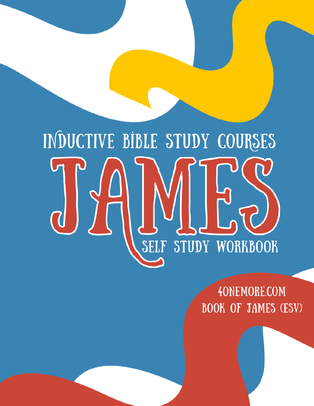# INDUCTIVE BIBLE STUDY COURSES SELF STUDY WORKBOOK

**4ONEMORE.COM BOOK OF JAMES (ESV)**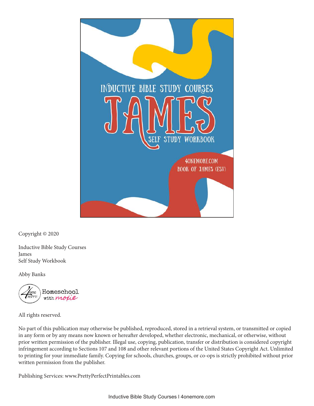

Copyright © 2020

Inductive Bible Study Courses James Self Study Workbook

Abby Banks



All rights reserved.

No part of this publication may otherwise be published, reproduced, stored in a retrieval system, or transmitted or copied in any form or by any means now known or hereafter developed, whether electronic, mechanical, or otherwise, without prior written permission of the publisher. Illegal use, copying, publication, transfer or distribution is considered copyright infringement according to Sections 107 and 108 and other relevant portions of the United States Copyright Act. Unlimited to printing for your immediate family. Copying for schools, churches, groups, or co-ops is strictly prohibited without prior written permission from the publisher.

Publishing Services: www.PrettyPerfectPrintables.com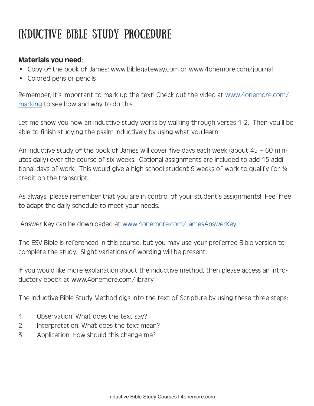# INDUCTIVE BIBLE STUDY PROCEDURE

#### Materials you need:

- Copy of the book of James: www.Biblegateway.com or www.4onemore.com/journal
- Colored pens or pencils

Remember, it's important to mark up the text! Check out the video at www.4onemore.com/ marking to see how and why to do this.

Let me show you how an inductive study works by walking through verses 1-2. Then you'll be able to finish studying the psalm inductively by using what you learn.

An inductive study of the book of James will cover five days each week (about 45 – 60 minutes daily) over the course of six weeks. Optional assignments are included to add 15 additional days of work. This would give a high school student 9 weeks of work to qualify for  $\frac{1}{4}$ credit on the transcript.

As always, please remember that you are in control of your student's assignments! Feel free to adapt the daily schedule to meet your needs.

Answer Key can be downloaded at www.4onemore.com/JamesAnswerKey

The ESV Bible is referenced in this course, but you may use your preferred Bible version to complete the study. Slight variations of wording will be present.

If you would like more explanation about the inductive method, then please access an introductory ebook at www.4onemore.com/library

The Inductive Bible Study Method digs into the text of Scripture by using these three steps:

- 1. Observation: What does the text say?
- 2. Interpretation: What does the text mean?
- 3. Application: How should this change me?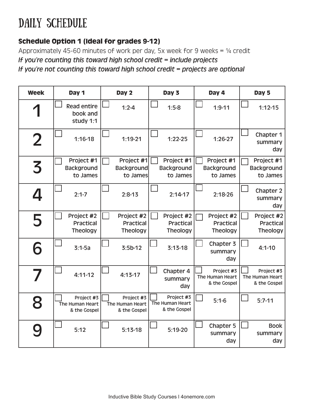## DAILY SCHEDULE

#### Schedule Option 1 (Ideal for grades 9-12)

Approximately 45-60 minutes of work per day, 5x week for 9 weeks =  $\frac{1}{4}$  credit If you're counting this toward high school credit = include projects If you're not counting this toward high school credit = projects are optional

| <b>Week</b>    | Day 1                                         | Day 2                                         | Day 3                                         | Day 4                                         | Day 5                                         |
|----------------|-----------------------------------------------|-----------------------------------------------|-----------------------------------------------|-----------------------------------------------|-----------------------------------------------|
|                | <b>Read entire</b><br>book and<br>study 1:1   | $1:2 - 4$                                     | $1:5-8$                                       | $1:9 - 11$                                    | $1:12 - 15$                                   |
| $\overline{2}$ | $1:16-18$                                     | $1:19-21$                                     | $1:22-25$                                     | $1:26-27$                                     | Chapter 1<br>summary<br>day                   |
| 3              | Project #1<br><b>Background</b><br>to James   | Project #1<br><b>Background</b><br>to James   | Project #1<br><b>Background</b><br>to James   | Project #1<br><b>Background</b><br>to James   | Project #1<br><b>Background</b><br>to James   |
|                | $2:1 - 7$                                     | $2:8-13$                                      | $2:14-17$                                     | $2:18-26$                                     | Chapter 2<br>summary<br>day                   |
| 5              | Project #2<br><b>Practical</b><br>Theology    | Project #2<br><b>Practical</b><br>Theology    | Project #2<br><b>Practical</b><br>Theology    | Project #2<br><b>Practical</b><br>Theology    | Project #2<br><b>Practical</b><br>Theology    |
| 6              | $3:1 - 5a$                                    | $3:5b-12$                                     | $3:13-18$                                     | Chapter 3<br>summary<br>day                   | $4:1 - 10$                                    |
|                | $4:11-12$                                     | $4:13-17$                                     | Chapter 4<br>summary<br>day                   | Project #3<br>The Human Heart<br>& the Gospel | Project #3<br>The Human Heart<br>& the Gospel |
| 8              | Project #3<br>The Human Heart<br>& the Gospel | Project #3<br>The Human Heart<br>& the Gospel | Project #3<br>The Human Heart<br>& the Gospel | $5:1-6$                                       | $5:7-11$                                      |
|                | 5:12                                          | $5:13-18$                                     | 5:19-20                                       | Chapter 5<br>summary<br>day                   | <b>Book</b><br>summary<br>day                 |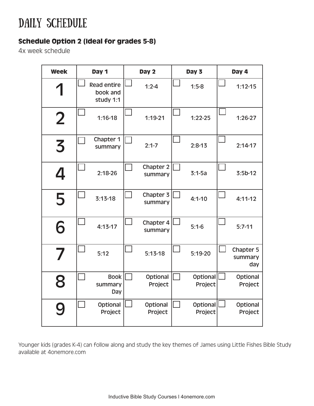#### DAILY SCHEDULE

#### Schedule Option 2 (Ideal for grades 5-8)

4x week schedule

| <b>Week</b> | Day 1                                       | Day 2                | Day 3               | Day 4                       |
|-------------|---------------------------------------------|----------------------|---------------------|-----------------------------|
|             | <b>Read entire</b><br>book and<br>study 1:1 | $1:2 - 4$            | $1:5-8$             | $1:12-15$                   |
| $\mathbf 2$ | $1:16-18$                                   | $1:19-21$            | $1:22-25$           | $1:26-27$                   |
| 3           | Chapter 1<br>summary                        | $2:1 - 7$            | $2:8-13$            | $2:14-17$                   |
| 4           | $2:18-26$                                   | Chapter 2<br>summary | $3:1 - 5a$          | $3:5b-12$                   |
| 5           | $3:13-18$                                   | Chapter 3<br>summary | $4:1 - 10$          | $4:11 - 12$                 |
| 6           | $4:13-17$                                   | Chapter 4<br>summary | $5:1-6$             | $5:7-11$                    |
|             | 5:12                                        | $5:13-18$            | 5:19-20             | Chapter 5<br>summary<br>day |
| 8           | <b>Book</b><br>summary<br>Day               | Optional<br>Project  | Optional<br>Project | Optional<br>Project         |
|             | Optional<br>Project                         | Optional<br>Project  | Optional<br>Project | Optional<br>Project         |

Younger kids (grades K-4) can follow along and study the key themes of James using Little Fishes Bible Study available at 4onemore.com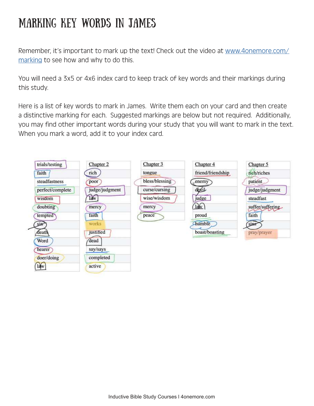#### Marking Key Words in James

Remember, it's important to mark up the text! Check out the video at www.4onemore.com/ marking to see how and why to do this.

You will need a 3x5 or 4x6 index card to keep track of key words and their markings during this study.

Here is a list of key words to mark in James. Write them each on your card and then create a distinctive marking for each. Suggested markings are below but not required. Additionally, you may find other important words during your study that you will want to mark in the text. When you mark a word, add it to your index card.

| trials/testing   | Chapter 2        | Chapter 3      | Chapter 4         | Chapter 5        |
|------------------|------------------|----------------|-------------------|------------------|
| faith            | rich             | tongue         | friend/friendship | rich/riches      |
| steadfastness    | poor             | bless/blessing | enemy             | patient          |
| perfect/complete | judge/judgment   | curse/cursing  | devil             | judge/judgment   |
| wisdom           | law              | wise/wisdom    | judge             | steadfast        |
| doubting         | mercy            | mercy          | law               | suffer/suffering |
| tempted          | faith            | peace          | proud             | faith            |
| sin              | works            |                | humble            | sins             |
| death            | <i>justified</i> |                | boast/boasting    | pray/prayer      |
| Word             | dead             |                |                   |                  |
| hearer           | say/says         |                |                   |                  |
| doer/doing       | completed        |                |                   |                  |
| law              | active           |                |                   |                  |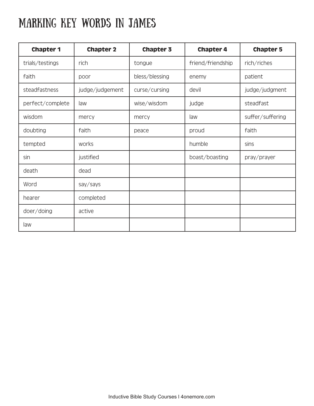#### Marking Key Words in James

| <b>Chapter 1</b> | <b>Chapter 2</b> | Chapter 3      | <b>Chapter 4</b>  | <b>Chapter 5</b> |
|------------------|------------------|----------------|-------------------|------------------|
| trials/testings  | rich             | tongue         | friend/friendship | rich/riches      |
| faith            | poor             | bless/blessing | enemy             | patient          |
| steadfastness    | judge/judgement  | curse/cursing  | devil             | judge/judgment   |
| perfect/complete | law              | wise/wisdom    | judge             | steadfast        |
| wisdom           | mercy            | mercy          | law               | suffer/suffering |
| doubting         | faith            | peace          | proud             | faith            |
| tempted          | works            |                | humble            | sins             |
| sin              | justified        |                | boast/boasting    | pray/prayer      |
| death            | dead             |                |                   |                  |
| Word             | say/says         |                |                   |                  |
| hearer           | completed        |                |                   |                  |
| doer/doing       | active           |                |                   |                  |
| law              |                  |                |                   |                  |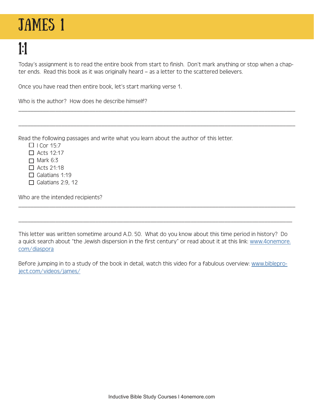# JAMES<sub>1</sub>

1:1

Today's assignment is to read the entire book from start to finish. Don't mark anything or stop when a chapter ends. Read this book as it was originally heard – as a letter to the scattered believers.

\_\_\_\_\_\_\_\_\_\_\_\_\_\_\_\_\_\_\_\_\_\_\_\_\_\_\_\_\_\_\_\_\_\_\_\_\_\_\_\_\_\_\_\_\_\_\_\_\_\_\_\_\_\_\_\_\_\_\_\_\_\_\_\_\_\_\_\_\_\_\_\_\_\_\_\_\_\_\_\_\_\_\_\_\_\_\_\_\_\_

\_\_\_\_\_\_\_\_\_\_\_\_\_\_\_\_\_\_\_\_\_\_\_\_\_\_\_\_\_\_\_\_\_\_\_\_\_\_\_\_\_\_\_\_\_\_\_\_\_\_\_\_\_\_\_\_\_\_\_\_\_\_\_\_\_\_\_\_\_\_\_\_\_\_\_\_\_\_\_\_\_\_\_\_\_\_\_\_\_\_

Once you have read then entire book, let's start marking verse 1.

Who is the author? How does he describe himself?

Read the following passages and write what you learn about the author of this letter.

- $\Box$  I Cor 15:7
- $\Box$  Acts 12:17
- $\Box$  Mark 6:3
- $\Box$  Acts 21:18
- $\Box$  Galatians 1:19
- $\Box$  Galatians 2:9, 12

Who are the intended recipients?

This letter was written sometime around A.D. 50. What do you know about this time period in history? Do a quick search about "the Jewish dispersion in the first century" or read about it at this link: www.4onemore. com/diaspora

\_\_\_\_\_\_\_\_\_\_\_\_\_\_\_\_\_\_\_\_\_\_\_\_\_\_\_\_\_\_\_\_\_\_\_\_\_\_\_\_\_\_\_\_\_\_\_\_\_\_\_\_\_\_\_\_\_\_\_\_\_\_\_\_\_\_\_\_\_\_\_\_\_\_\_\_\_\_\_\_\_\_\_\_\_\_\_\_\_\_

\_\_\_\_\_\_\_\_\_\_\_\_\_\_\_\_\_\_\_\_\_\_\_\_\_\_\_\_\_\_\_\_\_\_\_\_\_\_\_\_\_\_\_\_\_\_\_\_\_\_\_\_\_\_\_\_\_\_\_\_\_\_\_\_\_\_\_\_\_\_\_\_\_\_\_\_\_\_\_\_\_\_\_\_\_\_\_\_\_

Before jumping in to a study of the book in detail, watch this video for a fabulous overview: www.bibleproject.com/videos/james/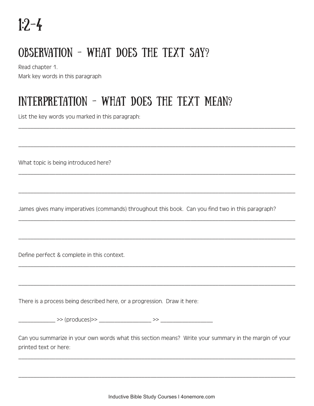#### Observation - What does the text say?

Read chapter 1.

Mark key words in this paragraph

#### Interpretation - what does the text mean?

List the key words you marked in this paragraph:

What topic is being introduced here?

James gives many imperatives (commands) throughout this book. Can you find two in this paragraph?

\_\_\_\_\_\_\_\_\_\_\_\_\_\_\_\_\_\_\_\_\_\_\_\_\_\_\_\_\_\_\_\_\_\_\_\_\_\_\_\_\_\_\_\_\_\_\_\_\_\_\_\_\_\_\_\_\_\_\_\_\_\_\_\_\_\_\_\_\_\_\_\_\_\_\_\_\_\_\_\_\_\_\_\_\_\_\_\_\_\_

\_\_\_\_\_\_\_\_\_\_\_\_\_\_\_\_\_\_\_\_\_\_\_\_\_\_\_\_\_\_\_\_\_\_\_\_\_\_\_\_\_\_\_\_\_\_\_\_\_\_\_\_\_\_\_\_\_\_\_\_\_\_\_\_\_\_\_\_\_\_\_\_\_\_\_\_\_\_\_\_\_\_\_\_\_\_\_\_\_\_

\_\_\_\_\_\_\_\_\_\_\_\_\_\_\_\_\_\_\_\_\_\_\_\_\_\_\_\_\_\_\_\_\_\_\_\_\_\_\_\_\_\_\_\_\_\_\_\_\_\_\_\_\_\_\_\_\_\_\_\_\_\_\_\_\_\_\_\_\_\_\_\_\_\_\_\_\_\_\_\_\_\_\_\_\_\_\_\_\_\_

\_\_\_\_\_\_\_\_\_\_\_\_\_\_\_\_\_\_\_\_\_\_\_\_\_\_\_\_\_\_\_\_\_\_\_\_\_\_\_\_\_\_\_\_\_\_\_\_\_\_\_\_\_\_\_\_\_\_\_\_\_\_\_\_\_\_\_\_\_\_\_\_\_\_\_\_\_\_\_\_\_\_\_\_\_\_\_\_\_\_

\_\_\_\_\_\_\_\_\_\_\_\_\_\_\_\_\_\_\_\_\_\_\_\_\_\_\_\_\_\_\_\_\_\_\_\_\_\_\_\_\_\_\_\_\_\_\_\_\_\_\_\_\_\_\_\_\_\_\_\_\_\_\_\_\_\_\_\_\_\_\_\_\_\_\_\_\_\_\_\_\_\_\_\_\_\_\_\_\_\_

\_\_\_\_\_\_\_\_\_\_\_\_\_\_\_\_\_\_\_\_\_\_\_\_\_\_\_\_\_\_\_\_\_\_\_\_\_\_\_\_\_\_\_\_\_\_\_\_\_\_\_\_\_\_\_\_\_\_\_\_\_\_\_\_\_\_\_\_\_\_\_\_\_\_\_\_\_\_\_\_\_\_\_\_\_\_\_\_\_\_

\_\_\_\_\_\_\_\_\_\_\_\_\_\_\_\_\_\_\_\_\_\_\_\_\_\_\_\_\_\_\_\_\_\_\_\_\_\_\_\_\_\_\_\_\_\_\_\_\_\_\_\_\_\_\_\_\_\_\_\_\_\_\_\_\_\_\_\_\_\_\_\_\_\_\_\_\_\_\_\_\_\_\_\_\_\_\_\_\_\_

\_\_\_\_\_\_\_\_\_\_\_\_\_\_\_\_\_\_\_\_\_\_\_\_\_\_\_\_\_\_\_\_\_\_\_\_\_\_\_\_\_\_\_\_\_\_\_\_\_\_\_\_\_\_\_\_\_\_\_\_\_\_\_\_\_\_\_\_\_\_\_\_\_\_\_\_\_\_\_\_\_\_\_\_\_\_\_\_\_\_

Define perfect & complete in this context.

There is a process being described here, or a progression. Draw it here:

| $\sim$ $\sim$<br><u> 1.</u> |  |
|-----------------------------|--|
|-----------------------------|--|

Can you summarize in your own words what this section means? Write your summary in the margin of your printed text or here:

\_\_\_\_\_\_\_\_\_\_\_\_\_\_\_\_\_\_\_\_\_\_\_\_\_\_\_\_\_\_\_\_\_\_\_\_\_\_\_\_\_\_\_\_\_\_\_\_\_\_\_\_\_\_\_\_\_\_\_\_\_\_\_\_\_\_\_\_\_\_\_\_\_\_\_\_\_\_\_\_\_\_\_\_\_\_\_\_\_\_

\_\_\_\_\_\_\_\_\_\_\_\_\_\_\_\_\_\_\_\_\_\_\_\_\_\_\_\_\_\_\_\_\_\_\_\_\_\_\_\_\_\_\_\_\_\_\_\_\_\_\_\_\_\_\_\_\_\_\_\_\_\_\_\_\_\_\_\_\_\_\_\_\_\_\_\_\_\_\_\_\_\_\_\_\_\_\_\_\_\_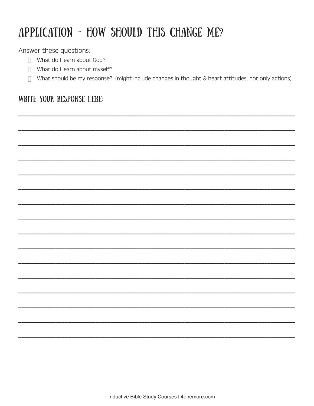## APPLICATION - HOW SHOULD THIS CHANGE ME?

Answer these questions:

- □ What do I learn about God?
- $\Box$  What do I learn about myself?
- $\Box$  What should be my response? (might include changes in thought & heart attitudes, not only actions)

#### WRITE YOUR RESPONSE HERE: